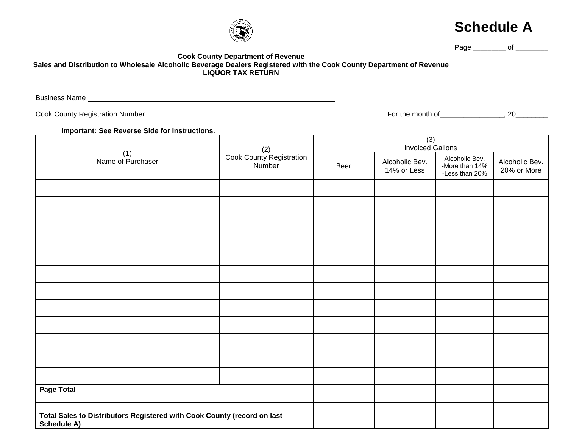## **Cook County Department of Revenue Sales and Distribution to Wholesale Alcoholic Beverage Dealers Registered with the Cook County Department of Revenue LIQUOR TAX RETURN**

Business Name

Cook County Registration Number Number All Cook County Registration Number Number All Cook County Registration Number 20

**Important: See Reverse Side for Instructions.**

| (1)<br>Name of Purchaser                                                               | (2)<br>Cook County Registration<br>Number | (3)<br>Invoiced Gallons |                               |                                                    |                               |
|----------------------------------------------------------------------------------------|-------------------------------------------|-------------------------|-------------------------------|----------------------------------------------------|-------------------------------|
|                                                                                        |                                           | Beer                    | Alcoholic Bev.<br>14% or Less | Alcoholic Bev.<br>-More than 14%<br>-Less than 20% | Alcoholic Bev.<br>20% or More |
|                                                                                        |                                           |                         |                               |                                                    |                               |
|                                                                                        |                                           |                         |                               |                                                    |                               |
|                                                                                        |                                           |                         |                               |                                                    |                               |
|                                                                                        |                                           |                         |                               |                                                    |                               |
|                                                                                        |                                           |                         |                               |                                                    |                               |
|                                                                                        |                                           |                         |                               |                                                    |                               |
|                                                                                        |                                           |                         |                               |                                                    |                               |
|                                                                                        |                                           |                         |                               |                                                    |                               |
|                                                                                        |                                           |                         |                               |                                                    |                               |
|                                                                                        |                                           |                         |                               |                                                    |                               |
|                                                                                        |                                           |                         |                               |                                                    |                               |
|                                                                                        |                                           |                         |                               |                                                    |                               |
| <b>Page Total</b>                                                                      |                                           |                         |                               |                                                    |                               |
| Total Sales to Distributors Registered with Cook County (record on last<br>Schedule A) |                                           |                         |                               |                                                    |                               |





Page \_\_\_\_\_\_\_\_\_\_ of \_\_\_\_\_\_\_\_\_